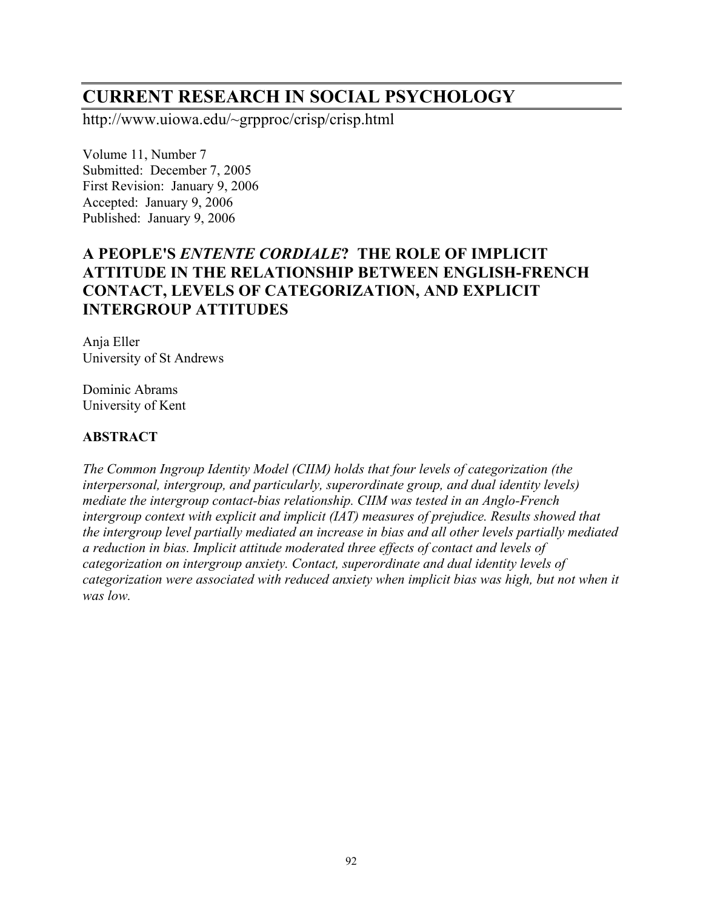# **CURRENT RESEARCH IN SOCIAL PSYCHOLOGY**

http://www.uiowa.edu/~grpproc/crisp/crisp.html

Volume 11, Number 7 Submitted: December 7, 2005 First Revision: January 9, 2006 Accepted: January 9, 2006 Published: January 9, 2006

# **A PEOPLE'S** *ENTENTE CORDIALE***? THE ROLE OF IMPLICIT ATTITUDE IN THE RELATIONSHIP BETWEEN ENGLISH-FRENCH CONTACT, LEVELS OF CATEGORIZATION, AND EXPLICIT INTERGROUP ATTITUDES**

Anja Eller University of St Andrews

Dominic Abrams University of Kent

# **ABSTRACT**

*The Common Ingroup Identity Model (CIIM) holds that four levels of categorization (the interpersonal, intergroup, and particularly, superordinate group, and dual identity levels) mediate the intergroup contact-bias relationship. CIIM was tested in an Anglo-French intergroup context with explicit and implicit (IAT) measures of prejudice. Results showed that the intergroup level partially mediated an increase in bias and all other levels partially mediated a reduction in bias. Implicit attitude moderated three effects of contact and levels of categorization on intergroup anxiety. Contact, superordinate and dual identity levels of categorization were associated with reduced anxiety when implicit bias was high, but not when it was low.*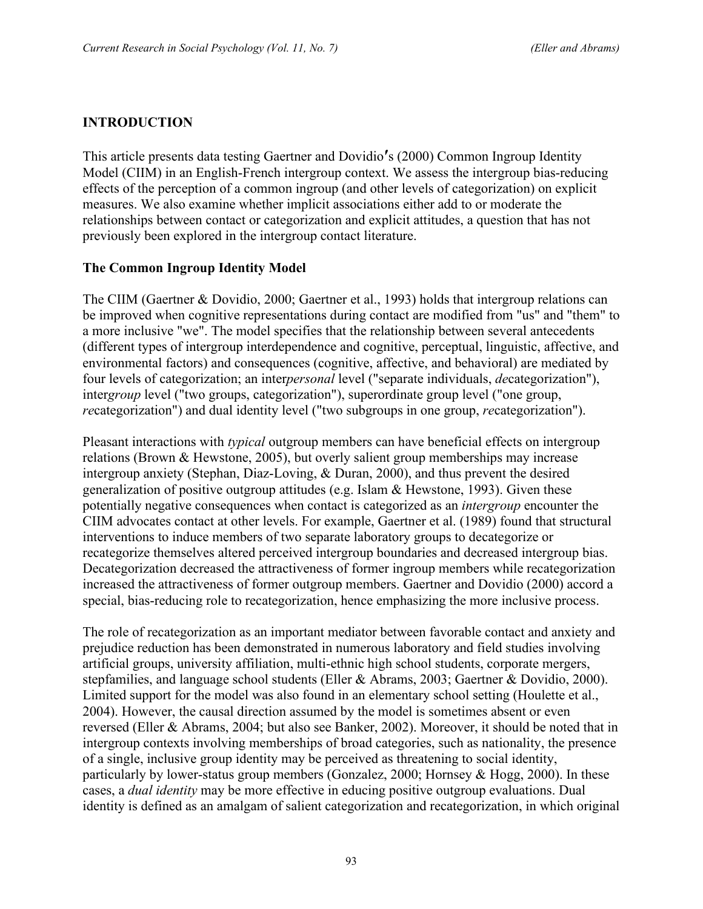## **INTRODUCTION**

This article presents data testing Gaertner and Dovidio**′**s (2000) Common Ingroup Identity Model (CIIM) in an English-French intergroup context. We assess the intergroup bias-reducing effects of the perception of a common ingroup (and other levels of categorization) on explicit measures. We also examine whether implicit associations either add to or moderate the relationships between contact or categorization and explicit attitudes, a question that has not previously been explored in the intergroup contact literature.

#### **The Common Ingroup Identity Model**

The CIIM (Gaertner & Dovidio, 2000; Gaertner et al., 1993) holds that intergroup relations can be improved when cognitive representations during contact are modified from "us" and "them" to a more inclusive "we". The model specifies that the relationship between several antecedents (different types of intergroup interdependence and cognitive, perceptual, linguistic, affective, and environmental factors) and consequences (cognitive, affective, and behavioral) are mediated by four levels of categorization; an inter*personal* level ("separate individuals, *de*categorization"), intergroup level ("two groups, categorization"), superordinate group level ("one group, *re*categorization") and dual identity level ("two subgroups in one group, *re*categorization").

Pleasant interactions with *typical* outgroup members can have beneficial effects on intergroup relations (Brown & Hewstone, 2005), but overly salient group memberships may increase intergroup anxiety (Stephan, Diaz-Loving, & Duran, 2000), and thus prevent the desired generalization of positive outgroup attitudes (e.g. Islam & Hewstone, 1993). Given these potentially negative consequences when contact is categorized as an *intergroup* encounter the CIIM advocates contact at other levels. For example, Gaertner et al. (1989) found that structural interventions to induce members of two separate laboratory groups to decategorize or recategorize themselves altered perceived intergroup boundaries and decreased intergroup bias. Decategorization decreased the attractiveness of former ingroup members while recategorization increased the attractiveness of former outgroup members. Gaertner and Dovidio (2000) accord a special, bias-reducing role to recategorization, hence emphasizing the more inclusive process.

The role of recategorization as an important mediator between favorable contact and anxiety and prejudice reduction has been demonstrated in numerous laboratory and field studies involving artificial groups, university affiliation, multi-ethnic high school students, corporate mergers, stepfamilies, and language school students (Eller & Abrams, 2003; Gaertner & Dovidio, 2000). Limited support for the model was also found in an elementary school setting (Houlette et al., 2004). However, the causal direction assumed by the model is sometimes absent or even reversed (Eller & Abrams, 2004; but also see Banker, 2002). Moreover, it should be noted that in intergroup contexts involving memberships of broad categories, such as nationality, the presence of a single, inclusive group identity may be perceived as threatening to social identity, particularly by lower-status group members (Gonzalez, 2000; Hornsey & Hogg, 2000). In these cases, a *dual identity* may be more effective in educing positive outgroup evaluations. Dual identity is defined as an amalgam of salient categorization and recategorization, in which original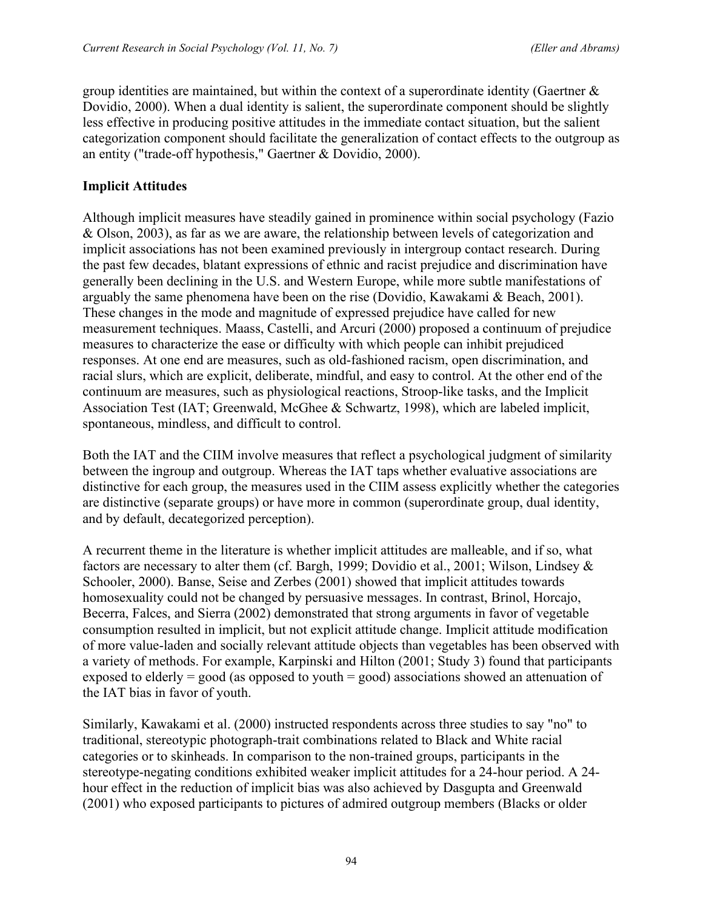group identities are maintained, but within the context of a superordinate identity (Gaertner  $\&$ Dovidio, 2000). When a dual identity is salient, the superordinate component should be slightly less effective in producing positive attitudes in the immediate contact situation, but the salient categorization component should facilitate the generalization of contact effects to the outgroup as an entity ("trade-off hypothesis," Gaertner & Dovidio, 2000).

## **Implicit Attitudes**

Although implicit measures have steadily gained in prominence within social psychology (Fazio & Olson, 2003), as far as we are aware, the relationship between levels of categorization and implicit associations has not been examined previously in intergroup contact research. During the past few decades, blatant expressions of ethnic and racist prejudice and discrimination have generally been declining in the U.S. and Western Europe, while more subtle manifestations of arguably the same phenomena have been on the rise (Dovidio, Kawakami & Beach, 2001). These changes in the mode and magnitude of expressed prejudice have called for new measurement techniques. Maass, Castelli, and Arcuri (2000) proposed a continuum of prejudice measures to characterize the ease or difficulty with which people can inhibit prejudiced responses. At one end are measures, such as old-fashioned racism, open discrimination, and racial slurs, which are explicit, deliberate, mindful, and easy to control. At the other end of the continuum are measures, such as physiological reactions, Stroop-like tasks, and the Implicit Association Test (IAT; Greenwald, McGhee & Schwartz, 1998), which are labeled implicit, spontaneous, mindless, and difficult to control.

Both the IAT and the CIIM involve measures that reflect a psychological judgment of similarity between the ingroup and outgroup. Whereas the IAT taps whether evaluative associations are distinctive for each group, the measures used in the CIIM assess explicitly whether the categories are distinctive (separate groups) or have more in common (superordinate group, dual identity, and by default, decategorized perception).

A recurrent theme in the literature is whether implicit attitudes are malleable, and if so, what factors are necessary to alter them (cf. Bargh, 1999; Dovidio et al., 2001; Wilson, Lindsey & Schooler, 2000). Banse, Seise and Zerbes (2001) showed that implicit attitudes towards homosexuality could not be changed by persuasive messages. In contrast, Brinol, Horcajo, Becerra, Falces, and Sierra (2002) demonstrated that strong arguments in favor of vegetable consumption resulted in implicit, but not explicit attitude change. Implicit attitude modification of more value-laden and socially relevant attitude objects than vegetables has been observed with a variety of methods. For example, Karpinski and Hilton (2001; Study 3) found that participants exposed to elderly = good (as opposed to youth = good) associations showed an attenuation of the IAT bias in favor of youth.

Similarly, Kawakami et al. (2000) instructed respondents across three studies to say "no" to traditional, stereotypic photograph-trait combinations related to Black and White racial categories or to skinheads. In comparison to the non-trained groups, participants in the stereotype-negating conditions exhibited weaker implicit attitudes for a 24-hour period. A 24 hour effect in the reduction of implicit bias was also achieved by Dasgupta and Greenwald (2001) who exposed participants to pictures of admired outgroup members (Blacks or older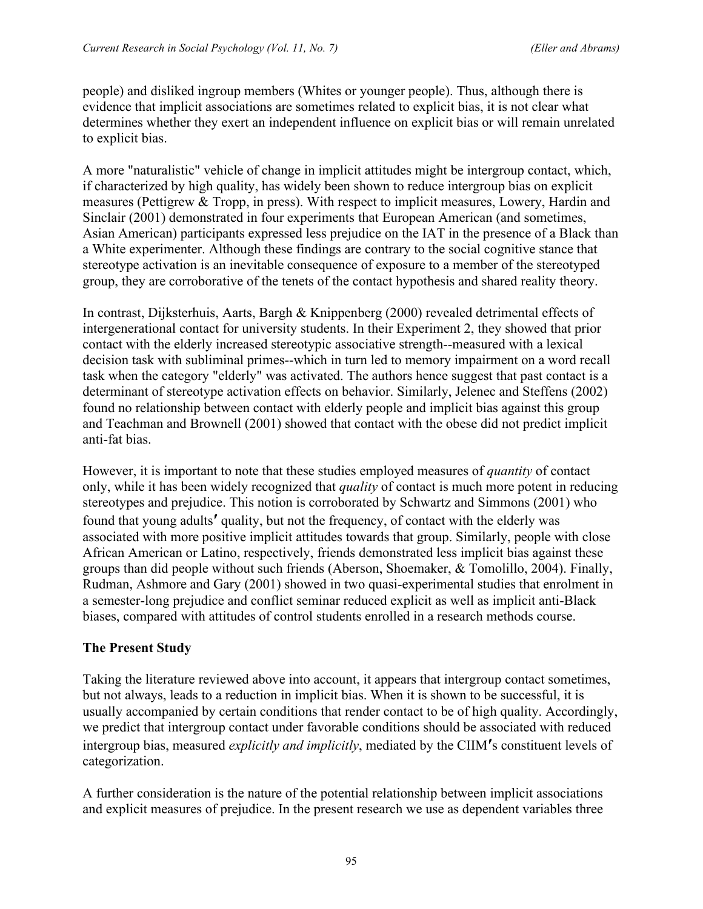people) and disliked ingroup members (Whites or younger people). Thus, although there is evidence that implicit associations are sometimes related to explicit bias, it is not clear what determines whether they exert an independent influence on explicit bias or will remain unrelated to explicit bias.

A more "naturalistic" vehicle of change in implicit attitudes might be intergroup contact, which, if characterized by high quality, has widely been shown to reduce intergroup bias on explicit measures (Pettigrew & Tropp, in press). With respect to implicit measures, Lowery, Hardin and Sinclair (2001) demonstrated in four experiments that European American (and sometimes, Asian American) participants expressed less prejudice on the IAT in the presence of a Black than a White experimenter. Although these findings are contrary to the social cognitive stance that stereotype activation is an inevitable consequence of exposure to a member of the stereotyped group, they are corroborative of the tenets of the contact hypothesis and shared reality theory.

In contrast, Dijksterhuis, Aarts, Bargh & Knippenberg (2000) revealed detrimental effects of intergenerational contact for university students. In their Experiment 2, they showed that prior contact with the elderly increased stereotypic associative strength--measured with a lexical decision task with subliminal primes--which in turn led to memory impairment on a word recall task when the category "elderly" was activated. The authors hence suggest that past contact is a determinant of stereotype activation effects on behavior. Similarly, Jelenec and Steffens (2002) found no relationship between contact with elderly people and implicit bias against this group and Teachman and Brownell (2001) showed that contact with the obese did not predict implicit anti-fat bias.

However, it is important to note that these studies employed measures of *quantity* of contact only, while it has been widely recognized that *quality* of contact is much more potent in reducing stereotypes and prejudice. This notion is corroborated by Schwartz and Simmons (2001) who found that young adults**′** quality, but not the frequency, of contact with the elderly was associated with more positive implicit attitudes towards that group. Similarly, people with close African American or Latino, respectively, friends demonstrated less implicit bias against these groups than did people without such friends (Aberson, Shoemaker, & Tomolillo, 2004). Finally, Rudman, Ashmore and Gary (2001) showed in two quasi-experimental studies that enrolment in a semester-long prejudice and conflict seminar reduced explicit as well as implicit anti-Black biases, compared with attitudes of control students enrolled in a research methods course.

# **The Present Study**

Taking the literature reviewed above into account, it appears that intergroup contact sometimes, but not always, leads to a reduction in implicit bias. When it is shown to be successful, it is usually accompanied by certain conditions that render contact to be of high quality. Accordingly, we predict that intergroup contact under favorable conditions should be associated with reduced intergroup bias, measured *explicitly and implicitly*, mediated by the CIIM**′**s constituent levels of categorization.

A further consideration is the nature of the potential relationship between implicit associations and explicit measures of prejudice. In the present research we use as dependent variables three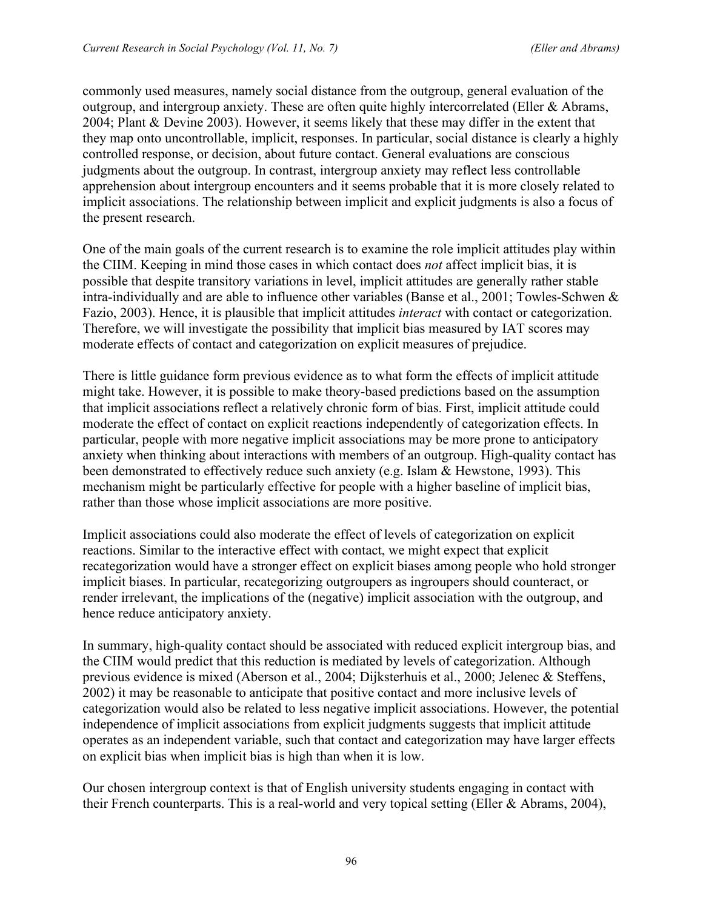commonly used measures, namely social distance from the outgroup, general evaluation of the outgroup, and intergroup anxiety. These are often quite highly intercorrelated (Eller & Abrams, 2004; Plant & Devine 2003). However, it seems likely that these may differ in the extent that they map onto uncontrollable, implicit, responses. In particular, social distance is clearly a highly controlled response, or decision, about future contact. General evaluations are conscious judgments about the outgroup. In contrast, intergroup anxiety may reflect less controllable apprehension about intergroup encounters and it seems probable that it is more closely related to implicit associations. The relationship between implicit and explicit judgments is also a focus of the present research.

One of the main goals of the current research is to examine the role implicit attitudes play within the CIIM. Keeping in mind those cases in which contact does *not* affect implicit bias, it is possible that despite transitory variations in level, implicit attitudes are generally rather stable intra-individually and are able to influence other variables (Banse et al., 2001; Towles-Schwen & Fazio, 2003). Hence, it is plausible that implicit attitudes *interact* with contact or categorization. Therefore, we will investigate the possibility that implicit bias measured by IAT scores may moderate effects of contact and categorization on explicit measures of prejudice.

There is little guidance form previous evidence as to what form the effects of implicit attitude might take. However, it is possible to make theory-based predictions based on the assumption that implicit associations reflect a relatively chronic form of bias. First, implicit attitude could moderate the effect of contact on explicit reactions independently of categorization effects. In particular, people with more negative implicit associations may be more prone to anticipatory anxiety when thinking about interactions with members of an outgroup. High-quality contact has been demonstrated to effectively reduce such anxiety (e.g. Islam & Hewstone, 1993). This mechanism might be particularly effective for people with a higher baseline of implicit bias, rather than those whose implicit associations are more positive.

Implicit associations could also moderate the effect of levels of categorization on explicit reactions. Similar to the interactive effect with contact, we might expect that explicit recategorization would have a stronger effect on explicit biases among people who hold stronger implicit biases. In particular, recategorizing outgroupers as ingroupers should counteract, or render irrelevant, the implications of the (negative) implicit association with the outgroup, and hence reduce anticipatory anxiety.

In summary, high-quality contact should be associated with reduced explicit intergroup bias, and the CIIM would predict that this reduction is mediated by levels of categorization. Although previous evidence is mixed (Aberson et al., 2004; Dijksterhuis et al., 2000; Jelenec & Steffens, 2002) it may be reasonable to anticipate that positive contact and more inclusive levels of categorization would also be related to less negative implicit associations. However, the potential independence of implicit associations from explicit judgments suggests that implicit attitude operates as an independent variable, such that contact and categorization may have larger effects on explicit bias when implicit bias is high than when it is low.

Our chosen intergroup context is that of English university students engaging in contact with their French counterparts. This is a real-world and very topical setting (Eller & Abrams, 2004),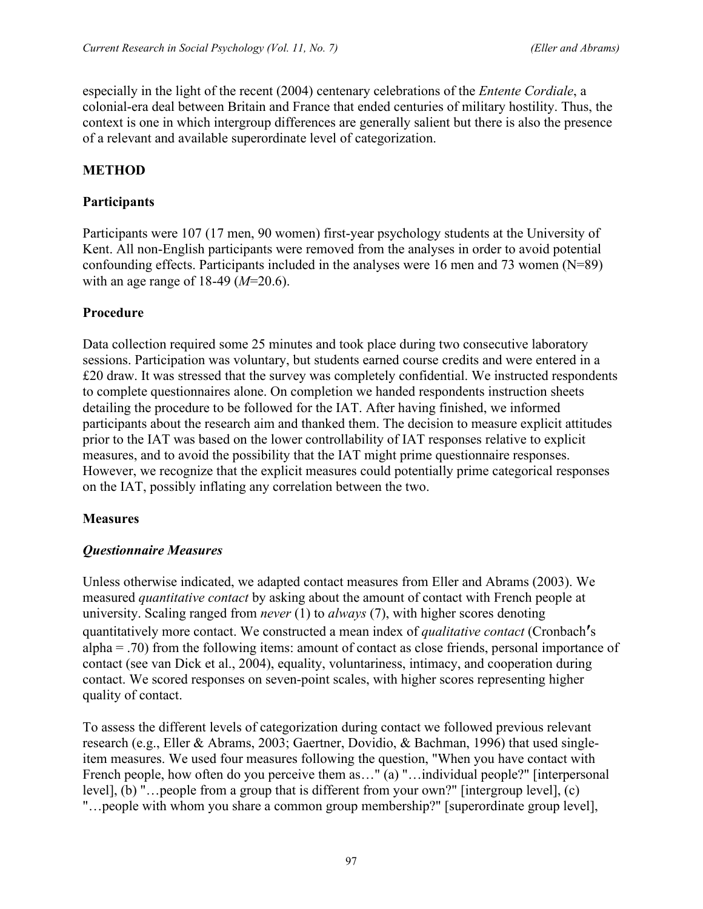especially in the light of the recent (2004) centenary celebrations of the *Entente Cordiale*, a colonial-era deal between Britain and France that ended centuries of military hostility. Thus, the context is one in which intergroup differences are generally salient but there is also the presence of a relevant and available superordinate level of categorization.

# **METHOD**

## **Participants**

Participants were 107 (17 men, 90 women) first-year psychology students at the University of Kent. All non-English participants were removed from the analyses in order to avoid potential confounding effects. Participants included in the analyses were 16 men and 73 women (N=89) with an age range of 18-49 (*M*=20.6).

# **Procedure**

Data collection required some 25 minutes and took place during two consecutive laboratory sessions. Participation was voluntary, but students earned course credits and were entered in a £20 draw. It was stressed that the survey was completely confidential. We instructed respondents to complete questionnaires alone. On completion we handed respondents instruction sheets detailing the procedure to be followed for the IAT. After having finished, we informed participants about the research aim and thanked them. The decision to measure explicit attitudes prior to the IAT was based on the lower controllability of IAT responses relative to explicit measures, and to avoid the possibility that the IAT might prime questionnaire responses. However, we recognize that the explicit measures could potentially prime categorical responses on the IAT, possibly inflating any correlation between the two.

### **Measures**

### *Questionnaire Measures*

Unless otherwise indicated, we adapted contact measures from Eller and Abrams (2003). We measured *quantitative contact* by asking about the amount of contact with French people at university. Scaling ranged from *never* (1) to *always* (7), with higher scores denoting quantitatively more contact. We constructed a mean index of *qualitative contact* (Cronbach**′**s alpha = .70) from the following items: amount of contact as close friends, personal importance of contact (see van Dick et al., 2004), equality, voluntariness, intimacy, and cooperation during contact. We scored responses on seven-point scales, with higher scores representing higher quality of contact.

To assess the different levels of categorization during contact we followed previous relevant research (e.g., Eller & Abrams, 2003; Gaertner, Dovidio, & Bachman, 1996) that used singleitem measures. We used four measures following the question, "When you have contact with French people, how often do you perceive them as…" (a) "…individual people?" [interpersonal level], (b) "…people from a group that is different from your own?" [intergroup level], (c) "…people with whom you share a common group membership?" [superordinate group level],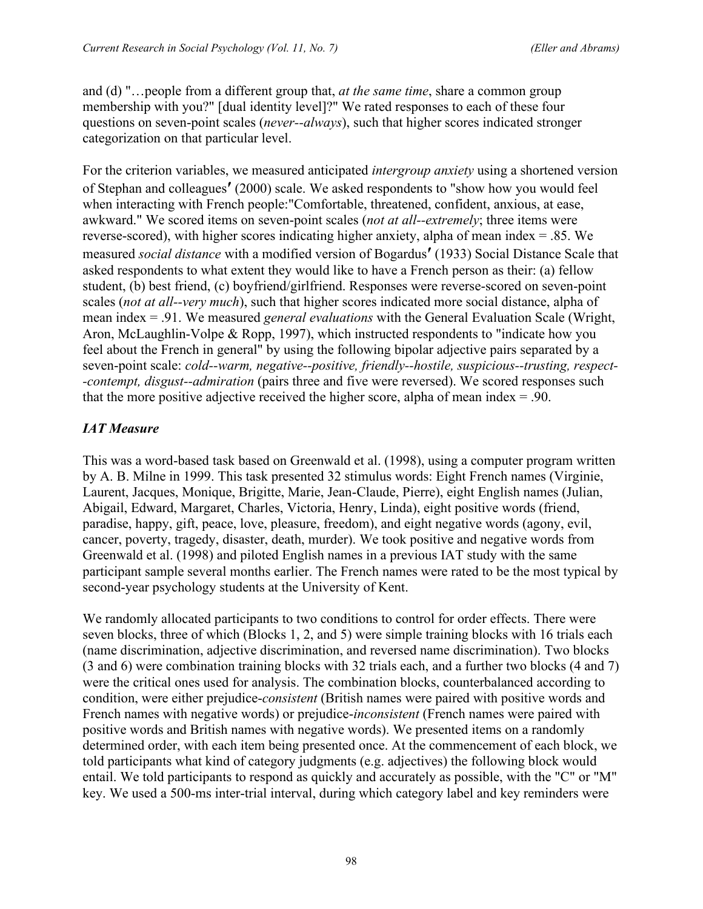and (d) "…people from a different group that, *at the same time*, share a common group membership with you?" [dual identity level]?" We rated responses to each of these four questions on seven-point scales (*never--always*), such that higher scores indicated stronger categorization on that particular level.

For the criterion variables, we measured anticipated *intergroup anxiety* using a shortened version of Stephan and colleagues**′** (2000) scale. We asked respondents to "show how you would feel when interacting with French people:"Comfortable, threatened, confident, anxious, at ease, awkward." We scored items on seven-point scales (*not at all--extremely*; three items were reverse-scored), with higher scores indicating higher anxiety, alpha of mean index = .85. We measured *social distance* with a modified version of Bogardus**′** (1933) Social Distance Scale that asked respondents to what extent they would like to have a French person as their: (a) fellow student, (b) best friend, (c) boyfriend/girlfriend. Responses were reverse-scored on seven-point scales (*not at all--very much*), such that higher scores indicated more social distance, alpha of mean index = .91. We measured *general evaluations* with the General Evaluation Scale (Wright, Aron, McLaughlin-Volpe & Ropp, 1997), which instructed respondents to "indicate how you feel about the French in general" by using the following bipolar adjective pairs separated by a seven-point scale: *cold--warm, negative--positive, friendly--hostile, suspicious--trusting, respect- -contempt, disgust--admiration* (pairs three and five were reversed). We scored responses such that the more positive adjective received the higher score, alpha of mean index  $= .90$ .

# *IAT Measure*

This was a word-based task based on Greenwald et al. (1998), using a computer program written by A. B. Milne in 1999. This task presented 32 stimulus words: Eight French names (Virginie, Laurent, Jacques, Monique, Brigitte, Marie, Jean-Claude, Pierre), eight English names (Julian, Abigail, Edward, Margaret, Charles, Victoria, Henry, Linda), eight positive words (friend, paradise, happy, gift, peace, love, pleasure, freedom), and eight negative words (agony, evil, cancer, poverty, tragedy, disaster, death, murder). We took positive and negative words from Greenwald et al. (1998) and piloted English names in a previous IAT study with the same participant sample several months earlier. The French names were rated to be the most typical by second-year psychology students at the University of Kent.

We randomly allocated participants to two conditions to control for order effects. There were seven blocks, three of which (Blocks 1, 2, and 5) were simple training blocks with 16 trials each (name discrimination, adjective discrimination, and reversed name discrimination). Two blocks (3 and 6) were combination training blocks with 32 trials each, and a further two blocks (4 and 7) were the critical ones used for analysis. The combination blocks, counterbalanced according to condition, were either prejudice-*consistent* (British names were paired with positive words and French names with negative words) or prejudice-*inconsistent* (French names were paired with positive words and British names with negative words). We presented items on a randomly determined order, with each item being presented once. At the commencement of each block, we told participants what kind of category judgments (e.g. adjectives) the following block would entail. We told participants to respond as quickly and accurately as possible, with the "C" or "M" key. We used a 500-ms inter-trial interval, during which category label and key reminders were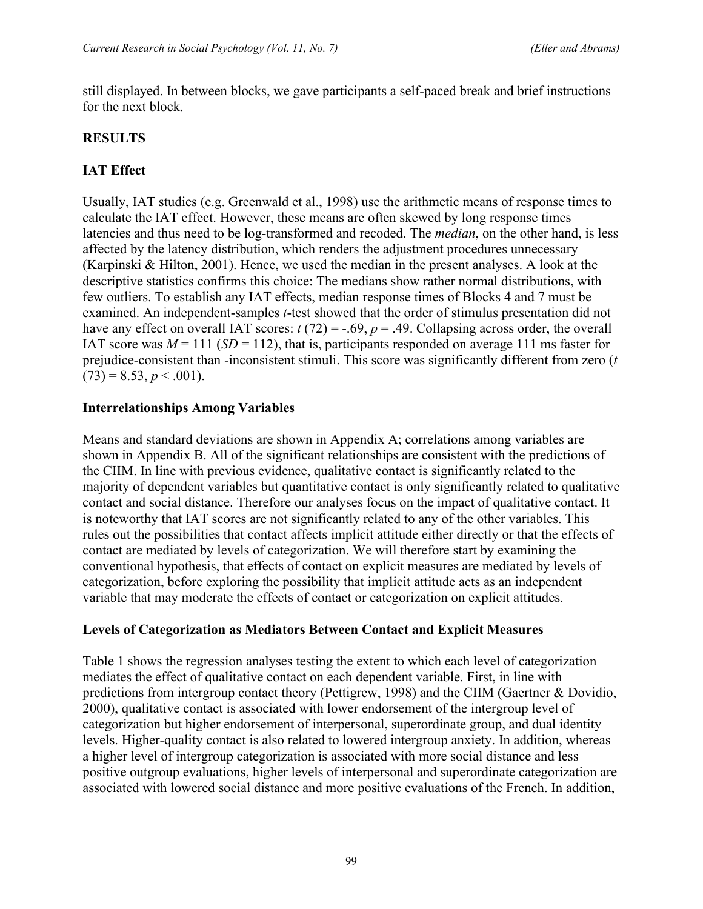still displayed. In between blocks, we gave participants a self-paced break and brief instructions for the next block.

# **RESULTS**

# **IAT Effect**

Usually, IAT studies (e.g. Greenwald et al., 1998) use the arithmetic means of response times to calculate the IAT effect. However, these means are often skewed by long response times latencies and thus need to be log-transformed and recoded. The *median*, on the other hand, is less affected by the latency distribution, which renders the adjustment procedures unnecessary (Karpinski & Hilton, 2001). Hence, we used the median in the present analyses. A look at the descriptive statistics confirms this choice: The medians show rather normal distributions, with few outliers. To establish any IAT effects, median response times of Blocks 4 and 7 must be examined. An independent-samples *t*-test showed that the order of stimulus presentation did not have any effect on overall IAT scores:  $t(72) = -0.69$ ,  $p = 0.49$ . Collapsing across order, the overall IAT score was  $M = 111$  (*SD* = 112), that is, participants responded on average 111 ms faster for prejudice-consistent than -inconsistent stimuli. This score was significantly different from zero (*t*  $(73) = 8.53, p < .001$ ).

### **Interrelationships Among Variables**

Means and standard deviations are shown in Appendix A; correlations among variables are shown in Appendix B. All of the significant relationships are consistent with the predictions of the CIIM. In line with previous evidence, qualitative contact is significantly related to the majority of dependent variables but quantitative contact is only significantly related to qualitative contact and social distance. Therefore our analyses focus on the impact of qualitative contact. It is noteworthy that IAT scores are not significantly related to any of the other variables. This rules out the possibilities that contact affects implicit attitude either directly or that the effects of contact are mediated by levels of categorization. We will therefore start by examining the conventional hypothesis, that effects of contact on explicit measures are mediated by levels of categorization, before exploring the possibility that implicit attitude acts as an independent variable that may moderate the effects of contact or categorization on explicit attitudes.

### **Levels of Categorization as Mediators Between Contact and Explicit Measures**

Table 1 shows the regression analyses testing the extent to which each level of categorization mediates the effect of qualitative contact on each dependent variable. First, in line with predictions from intergroup contact theory (Pettigrew, 1998) and the CIIM (Gaertner & Dovidio, 2000), qualitative contact is associated with lower endorsement of the intergroup level of categorization but higher endorsement of interpersonal, superordinate group, and dual identity levels. Higher-quality contact is also related to lowered intergroup anxiety. In addition, whereas a higher level of intergroup categorization is associated with more social distance and less positive outgroup evaluations, higher levels of interpersonal and superordinate categorization are associated with lowered social distance and more positive evaluations of the French. In addition,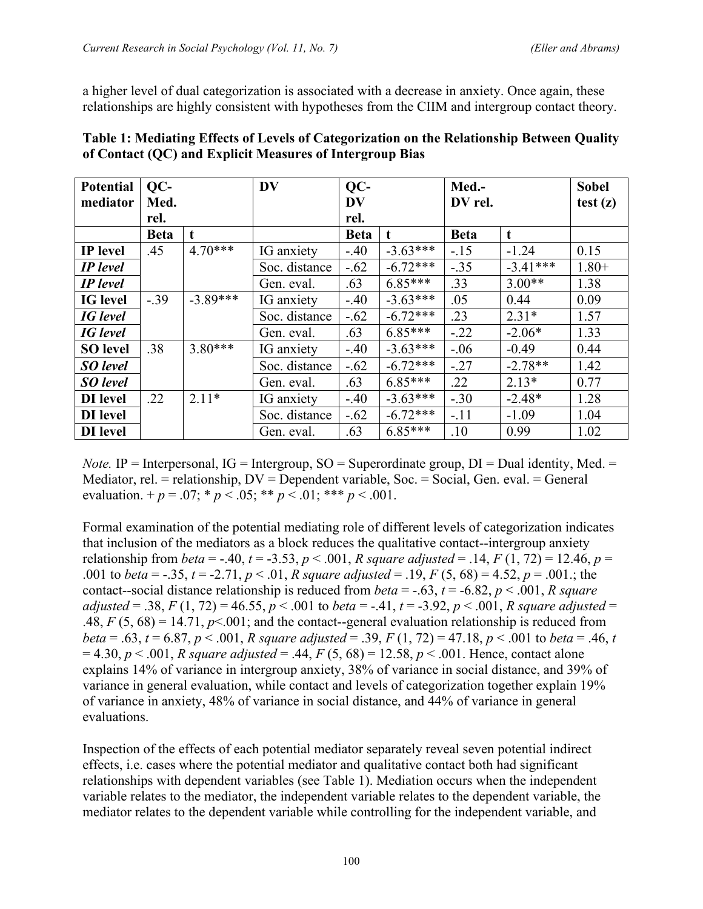a higher level of dual categorization is associated with a decrease in anxiety. Once again, these relationships are highly consistent with hypotheses from the CIIM and intergroup contact theory.

| <b>Potential</b> | QC-         |             | <b>DV</b>     | QC-         |            | Med.-       | <b>Sobel</b> |         |
|------------------|-------------|-------------|---------------|-------------|------------|-------------|--------------|---------|
| mediator         | Med.        |             |               | <b>DV</b>   |            | DV rel.     | test(z)      |         |
|                  | rel.        |             |               | rel.        |            |             |              |         |
|                  | <b>Beta</b> | $\mathbf t$ |               | <b>Beta</b> | t          | <b>Beta</b> | t            |         |
| <b>IP</b> level  | .45         | $4.70***$   | IG anxiety    | $-40$       | $-3.63***$ | $-15$       | $-1.24$      | 0.15    |
| <b>IP</b> level  |             |             | Soc. distance | $-.62$      | $-6.72***$ | $-.35$      | $-3.41***$   | $1.80+$ |
| <b>IP</b> level  |             |             | Gen. eval.    | .63         | $6.85***$  | .33         | $3.00**$     | 1.38    |
| <b>IG</b> level  | $-.39$      | $-3.89***$  | IG anxiety    | $-40$       | $-3.63***$ | .05         | 0.44         | 0.09    |
| <b>IG</b> level  |             |             | Soc. distance | $-.62$      | $-6.72***$ | .23         | $2.31*$      | 1.57    |
| <b>IG</b> level  |             |             | Gen. eval.    | .63         | $6.85***$  | $-.22$      | $-2.06*$     | 1.33    |
| <b>SO</b> level  | .38         | $3.80***$   | IG anxiety    | $-40$       | $-3.63***$ | $-.06$      | $-0.49$      | 0.44    |
| SO level         |             |             | Soc. distance | $-.62$      | $-6.72***$ | $-.27$      | $-2.78**$    | 1.42    |
| <b>SO</b> level  |             |             | Gen. eval.    | .63         | $6.85***$  | .22         | $2.13*$      | 0.77    |
| DI level         | .22         | $2.11*$     | IG anxiety    | $-40$       | $-3.63***$ | $-.30$      | $-2.48*$     | 1.28    |
| DI level         |             |             | Soc. distance | $-.62$      | $-6.72***$ | $-.11$      | $-1.09$      | 1.04    |
| DI level         |             |             | Gen. eval.    | .63         | $6.85***$  | .10         | 0.99         | 1.02    |

**Table 1: Mediating Effects of Levels of Categorization on the Relationship Between Quality of Contact (QC) and Explicit Measures of Intergroup Bias**

*Note.* IP = Interpersonal,  $IG =$  Intergroup,  $SO =$  Superordinate group,  $DI =$  Dual identity, Med.  $=$ Mediator, rel. = relationship, DV = Dependent variable, Soc. = Social, Gen. eval. = General evaluation.  $+p = .07$ ;  $\ast p < .05$ ;  $\ast \ast p < .01$ ;  $\ast \ast \ast p < .001$ .

Formal examination of the potential mediating role of different levels of categorization indicates that inclusion of the mediators as a block reduces the qualitative contact--intergroup anxiety relationship from *beta* = -.40, *t* = -3.53, *p* < .001, *R* square adjusted = .14, *F* (1, 72) = 12.46, *p* = .001 to *beta* = -.35, *t* = -2.71, *p* < .01, *R* square adjusted = .19, *F* (5, 68) = 4.52, *p* = .001.; the contact--social distance relationship is reduced from *beta* = -.63,  $t = -6.82$ ,  $p < .001$ , *R square adjusted* = .38, *F* (1, 72) = 46.55, *p* < .001 to *beta* = -.41, *t* = -3.92, *p* < .001, *R* square adjusted = .48,  $F(5, 68) = 14.71$ ,  $p \le 0.001$ ; and the contact--general evaluation relationship is reduced from *beta* = .63, *t* = 6.87, *p* < .001, *R square adjusted* = .39, *F* (1, 72) = 47.18, *p* < .001 to *beta* = .46, *t*  $= 4.30, p \le 0.001, R$  *square adjusted* = .44,  $F(5, 68) = 12.58, p \le 0.001$ . Hence, contact alone explains 14% of variance in intergroup anxiety, 38% of variance in social distance, and 39% of variance in general evaluation, while contact and levels of categorization together explain 19% of variance in anxiety, 48% of variance in social distance, and 44% of variance in general evaluations.

Inspection of the effects of each potential mediator separately reveal seven potential indirect effects, i.e. cases where the potential mediator and qualitative contact both had significant relationships with dependent variables (see Table 1). Mediation occurs when the independent variable relates to the mediator, the independent variable relates to the dependent variable, the mediator relates to the dependent variable while controlling for the independent variable, and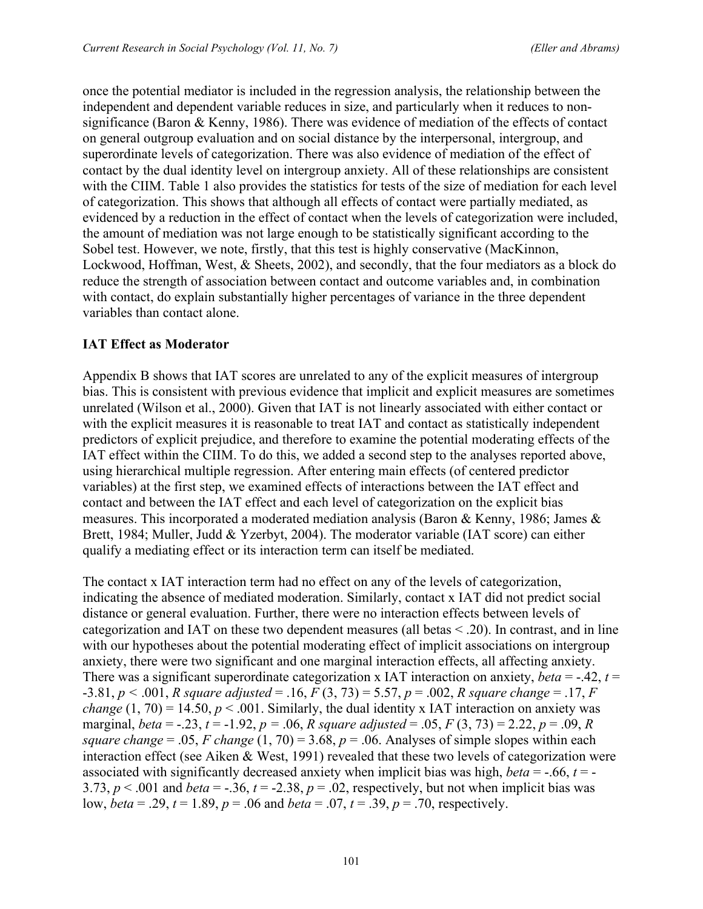once the potential mediator is included in the regression analysis, the relationship between the independent and dependent variable reduces in size, and particularly when it reduces to nonsignificance (Baron & Kenny, 1986). There was evidence of mediation of the effects of contact on general outgroup evaluation and on social distance by the interpersonal, intergroup, and superordinate levels of categorization. There was also evidence of mediation of the effect of contact by the dual identity level on intergroup anxiety. All of these relationships are consistent with the CIIM. Table 1 also provides the statistics for tests of the size of mediation for each level of categorization. This shows that although all effects of contact were partially mediated, as evidenced by a reduction in the effect of contact when the levels of categorization were included, the amount of mediation was not large enough to be statistically significant according to the Sobel test. However, we note, firstly, that this test is highly conservative (MacKinnon, Lockwood, Hoffman, West, & Sheets, 2002), and secondly, that the four mediators as a block do reduce the strength of association between contact and outcome variables and, in combination with contact, do explain substantially higher percentages of variance in the three dependent variables than contact alone.

# **IAT Effect as Moderator**

Appendix B shows that IAT scores are unrelated to any of the explicit measures of intergroup bias. This is consistent with previous evidence that implicit and explicit measures are sometimes unrelated (Wilson et al., 2000). Given that IAT is not linearly associated with either contact or with the explicit measures it is reasonable to treat IAT and contact as statistically independent predictors of explicit prejudice, and therefore to examine the potential moderating effects of the IAT effect within the CIIM. To do this, we added a second step to the analyses reported above, using hierarchical multiple regression. After entering main effects (of centered predictor variables) at the first step, we examined effects of interactions between the IAT effect and contact and between the IAT effect and each level of categorization on the explicit bias measures. This incorporated a moderated mediation analysis (Baron & Kenny, 1986; James  $\&$ Brett, 1984; Muller, Judd & Yzerbyt, 2004). The moderator variable (IAT score) can either qualify a mediating effect or its interaction term can itself be mediated.

The contact x IAT interaction term had no effect on any of the levels of categorization, indicating the absence of mediated moderation. Similarly, contact x IAT did not predict social distance or general evaluation. Further, there were no interaction effects between levels of categorization and IAT on these two dependent measures (all betas < .20). In contrast, and in line with our hypotheses about the potential moderating effect of implicit associations on intergroup anxiety, there were two significant and one marginal interaction effects, all affecting anxiety. There was a significant superordinate categorization x IAT interaction on anxiety, *beta* = -.42,  $t =$ -3.81, *p <* .001, *R square adjusted* = .16, *F* (3, 73) = 5.57, *p* = .002, *R square change* = .17, *F change* (1, 70) = 14.50,  $p < .001$ . Similarly, the dual identity x IAT interaction on anxiety was marginal, *beta* = -.23, *t* = -1.92, *p* = .06, *R* square *adjusted* = .05, *F* (3, 73) = 2.22, *p* = .09, *R square change* = .05, *F change* (1, 70) = 3.68,  $p = .06$ . Analyses of simple slopes within each interaction effect (see Aiken & West, 1991) revealed that these two levels of categorization were associated with significantly decreased anxiety when implicit bias was high, *beta* =  $-0.66$ ,  $t = -1$ 3.73,  $p < .001$  and *beta* = -.36,  $t = -2.38$ ,  $p = .02$ , respectively, but not when implicit bias was low, *beta* = .29, *t* = 1.89, *p* = .06 and *beta* = .07, *t* = .39, *p* = .70, respectively.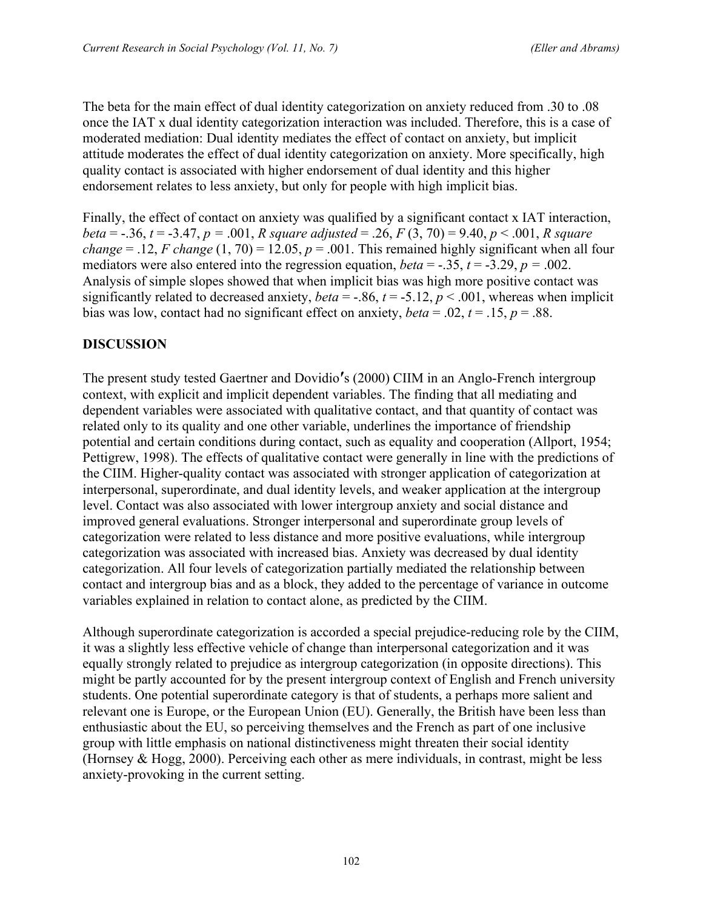The beta for the main effect of dual identity categorization on anxiety reduced from .30 to .08 once the IAT x dual identity categorization interaction was included. Therefore, this is a case of moderated mediation: Dual identity mediates the effect of contact on anxiety, but implicit attitude moderates the effect of dual identity categorization on anxiety. More specifically, high quality contact is associated with higher endorsement of dual identity and this higher endorsement relates to less anxiety, but only for people with high implicit bias.

Finally, the effect of contact on anxiety was qualified by a significant contact x IAT interaction, *beta* = -.36, *t* = -3.47, *p =* .001, *R square adjusted* = .26, *F* (3, 70) = 9.40, *p* < .001, *R square change* = .12, *F change* (1, 70) = 12.05,  $p = .001$ . This remained highly significant when all four mediators were also entered into the regression equation, *beta* = -.35,  $t = -3.29$ ,  $p = .002$ . Analysis of simple slopes showed that when implicit bias was high more positive contact was significantly related to decreased anxiety, *beta* = -.86,  $t = -5.12$ ,  $p < .001$ , whereas when implicit bias was low, contact had no significant effect on anxiety,  $beta = .02$ ,  $t = .15$ ,  $p = .88$ .

# **DISCUSSION**

The present study tested Gaertner and Dovidio**′**s (2000) CIIM in an Anglo-French intergroup context, with explicit and implicit dependent variables. The finding that all mediating and dependent variables were associated with qualitative contact, and that quantity of contact was related only to its quality and one other variable, underlines the importance of friendship potential and certain conditions during contact, such as equality and cooperation (Allport, 1954; Pettigrew, 1998). The effects of qualitative contact were generally in line with the predictions of the CIIM. Higher-quality contact was associated with stronger application of categorization at interpersonal, superordinate, and dual identity levels, and weaker application at the intergroup level. Contact was also associated with lower intergroup anxiety and social distance and improved general evaluations. Stronger interpersonal and superordinate group levels of categorization were related to less distance and more positive evaluations, while intergroup categorization was associated with increased bias. Anxiety was decreased by dual identity categorization. All four levels of categorization partially mediated the relationship between contact and intergroup bias and as a block, they added to the percentage of variance in outcome variables explained in relation to contact alone, as predicted by the CIIM.

Although superordinate categorization is accorded a special prejudice-reducing role by the CIIM, it was a slightly less effective vehicle of change than interpersonal categorization and it was equally strongly related to prejudice as intergroup categorization (in opposite directions). This might be partly accounted for by the present intergroup context of English and French university students. One potential superordinate category is that of students, a perhaps more salient and relevant one is Europe, or the European Union (EU). Generally, the British have been less than enthusiastic about the EU, so perceiving themselves and the French as part of one inclusive group with little emphasis on national distinctiveness might threaten their social identity (Hornsey & Hogg, 2000). Perceiving each other as mere individuals, in contrast, might be less anxiety-provoking in the current setting.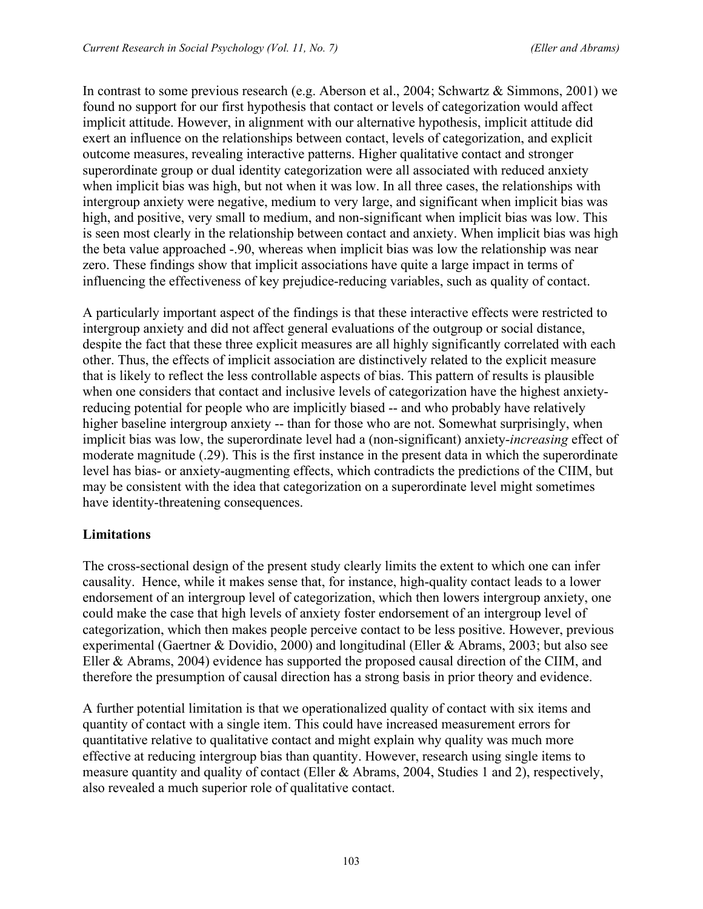In contrast to some previous research (e.g. Aberson et al., 2004; Schwartz & Simmons, 2001) we found no support for our first hypothesis that contact or levels of categorization would affect implicit attitude. However, in alignment with our alternative hypothesis, implicit attitude did exert an influence on the relationships between contact, levels of categorization, and explicit outcome measures, revealing interactive patterns. Higher qualitative contact and stronger superordinate group or dual identity categorization were all associated with reduced anxiety when implicit bias was high, but not when it was low. In all three cases, the relationships with intergroup anxiety were negative, medium to very large, and significant when implicit bias was high, and positive, very small to medium, and non-significant when implicit bias was low. This is seen most clearly in the relationship between contact and anxiety. When implicit bias was high the beta value approached -.90, whereas when implicit bias was low the relationship was near zero. These findings show that implicit associations have quite a large impact in terms of influencing the effectiveness of key prejudice-reducing variables, such as quality of contact.

A particularly important aspect of the findings is that these interactive effects were restricted to intergroup anxiety and did not affect general evaluations of the outgroup or social distance, despite the fact that these three explicit measures are all highly significantly correlated with each other. Thus, the effects of implicit association are distinctively related to the explicit measure that is likely to reflect the less controllable aspects of bias. This pattern of results is plausible when one considers that contact and inclusive levels of categorization have the highest anxietyreducing potential for people who are implicitly biased -- and who probably have relatively higher baseline intergroup anxiety -- than for those who are not. Somewhat surprisingly, when implicit bias was low, the superordinate level had a (non-significant) anxiety-*increasing* effect of moderate magnitude (.29). This is the first instance in the present data in which the superordinate level has bias- or anxiety-augmenting effects, which contradicts the predictions of the CIIM, but may be consistent with the idea that categorization on a superordinate level might sometimes have identity-threatening consequences.

# **Limitations**

The cross-sectional design of the present study clearly limits the extent to which one can infer causality. Hence, while it makes sense that, for instance, high-quality contact leads to a lower endorsement of an intergroup level of categorization, which then lowers intergroup anxiety, one could make the case that high levels of anxiety foster endorsement of an intergroup level of categorization, which then makes people perceive contact to be less positive. However, previous experimental (Gaertner & Dovidio, 2000) and longitudinal (Eller & Abrams, 2003; but also see Eller & Abrams, 2004) evidence has supported the proposed causal direction of the CIIM, and therefore the presumption of causal direction has a strong basis in prior theory and evidence.

A further potential limitation is that we operationalized quality of contact with six items and quantity of contact with a single item. This could have increased measurement errors for quantitative relative to qualitative contact and might explain why quality was much more effective at reducing intergroup bias than quantity. However, research using single items to measure quantity and quality of contact (Eller & Abrams, 2004, Studies 1 and 2), respectively, also revealed a much superior role of qualitative contact.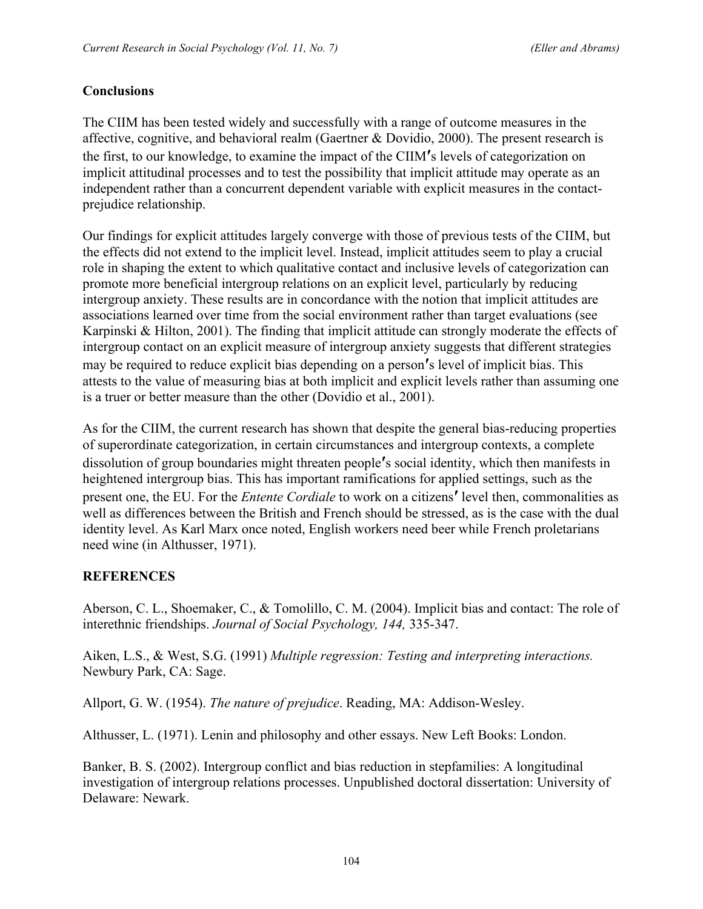# **Conclusions**

The CIIM has been tested widely and successfully with a range of outcome measures in the affective, cognitive, and behavioral realm (Gaertner & Dovidio, 2000). The present research is the first, to our knowledge, to examine the impact of the CIIM**′**s levels of categorization on implicit attitudinal processes and to test the possibility that implicit attitude may operate as an independent rather than a concurrent dependent variable with explicit measures in the contactprejudice relationship.

Our findings for explicit attitudes largely converge with those of previous tests of the CIIM, but the effects did not extend to the implicit level. Instead, implicit attitudes seem to play a crucial role in shaping the extent to which qualitative contact and inclusive levels of categorization can promote more beneficial intergroup relations on an explicit level, particularly by reducing intergroup anxiety. These results are in concordance with the notion that implicit attitudes are associations learned over time from the social environment rather than target evaluations (see Karpinski & Hilton, 2001). The finding that implicit attitude can strongly moderate the effects of intergroup contact on an explicit measure of intergroup anxiety suggests that different strategies may be required to reduce explicit bias depending on a person**′**s level of implicit bias. This attests to the value of measuring bias at both implicit and explicit levels rather than assuming one is a truer or better measure than the other (Dovidio et al., 2001).

As for the CIIM, the current research has shown that despite the general bias-reducing properties of superordinate categorization, in certain circumstances and intergroup contexts, a complete dissolution of group boundaries might threaten people**′**s social identity, which then manifests in heightened intergroup bias. This has important ramifications for applied settings, such as the present one, the EU. For the *Entente Cordiale* to work on a citizens**′** level then, commonalities as well as differences between the British and French should be stressed, as is the case with the dual identity level. As Karl Marx once noted, English workers need beer while French proletarians need wine (in Althusser, 1971).

### **REFERENCES**

Aberson, C. L., Shoemaker, C., & Tomolillo, C. M. (2004). Implicit bias and contact: The role of interethnic friendships. *Journal of Social Psychology, 144,* 335-347.

Aiken, L.S., & West, S.G. (1991) *Multiple regression: Testing and interpreting interactions.* Newbury Park, CA: Sage.

Allport, G. W. (1954). *The nature of prejudice*. Reading, MA: Addison-Wesley.

Althusser, L. (1971). Lenin and philosophy and other essays. New Left Books: London.

Banker, B. S. (2002). Intergroup conflict and bias reduction in stepfamilies: A longitudinal investigation of intergroup relations processes. Unpublished doctoral dissertation: University of Delaware: Newark.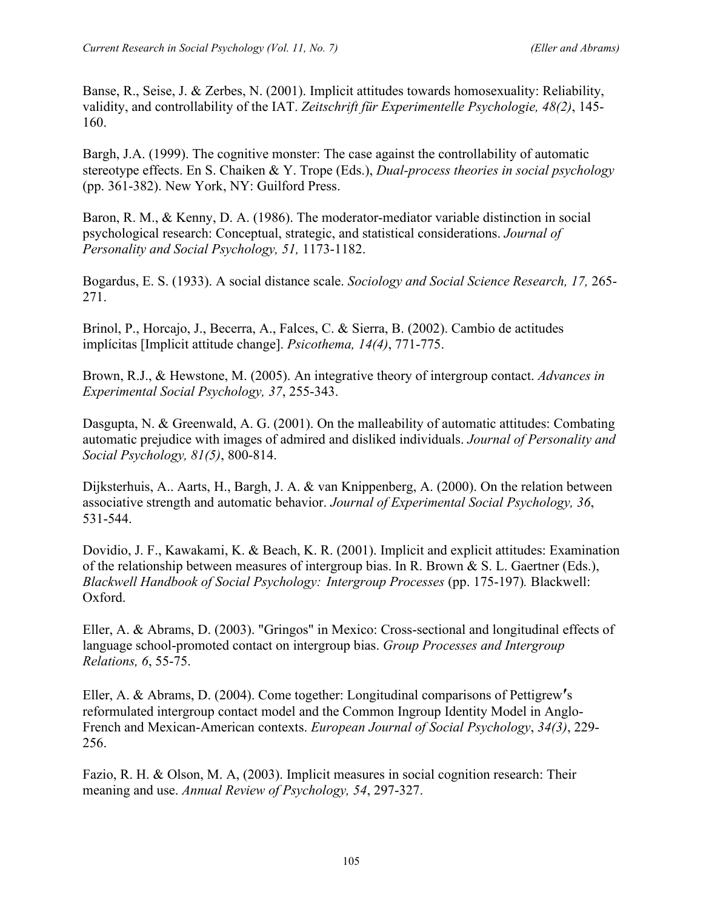Banse, R., Seise, J. & Zerbes, N. (2001). Implicit attitudes towards homosexuality: Reliability, validity, and controllability of the IAT. *Zeitschrift für Experimentelle Psychologie, 48(2)*, 145- 160.

Bargh, J.A. (1999). The cognitive monster: The case against the controllability of automatic stereotype effects. En S. Chaiken & Y. Trope (Eds.), *Dual-process theories in social psychology* (pp. 361-382). New York, NY: Guilford Press.

Baron, R. M., & Kenny, D. A. (1986). The moderator-mediator variable distinction in social psychological research: Conceptual, strategic, and statistical considerations. *Journal of Personality and Social Psychology, 51,* 1173-1182.

Bogardus, E. S. (1933). A social distance scale. *Sociology and Social Science Research, 17,* 265- 271.

Brinol, P., Horcajo, J., Becerra, A., Falces, C. & Sierra, B. (2002). Cambio de actitudes implícitas [Implicit attitude change]. *Psicothema, 14(4)*, 771-775.

Brown, R.J., & Hewstone, M. (2005). An integrative theory of intergroup contact. *Advances in Experimental Social Psychology, 37*, 255-343.

Dasgupta, N. & Greenwald, A. G. (2001). On the malleability of automatic attitudes: Combating automatic prejudice with images of admired and disliked individuals. *Journal of Personality and Social Psychology, 81(5)*, 800-814.

Dijksterhuis, A.. Aarts, H., Bargh, J. A. & van Knippenberg, A. (2000). On the relation between associative strength and automatic behavior. *Journal of Experimental Social Psychology, 36*, 531-544.

Dovidio, J. F., Kawakami, K. & Beach, K. R. (2001). Implicit and explicit attitudes: Examination of the relationship between measures of intergroup bias. In R. Brown & S. L. Gaertner (Eds.), *Blackwell Handbook of Social Psychology: Intergroup Processes* (pp. 175-197)*.* Blackwell: Oxford.

Eller, A. & Abrams, D. (2003). "Gringos" in Mexico: Cross-sectional and longitudinal effects of language school-promoted contact on intergroup bias. *Group Processes and Intergroup Relations, 6*, 55-75.

Eller, A. & Abrams, D. (2004). Come together: Longitudinal comparisons of Pettigrew**′**s reformulated intergroup contact model and the Common Ingroup Identity Model in Anglo-French and Mexican-American contexts. *European Journal of Social Psychology*, *34(3)*, 229- 256.

Fazio, R. H. & Olson, M. A, (2003). Implicit measures in social cognition research: Their meaning and use. *Annual Review of Psychology, 54*, 297-327.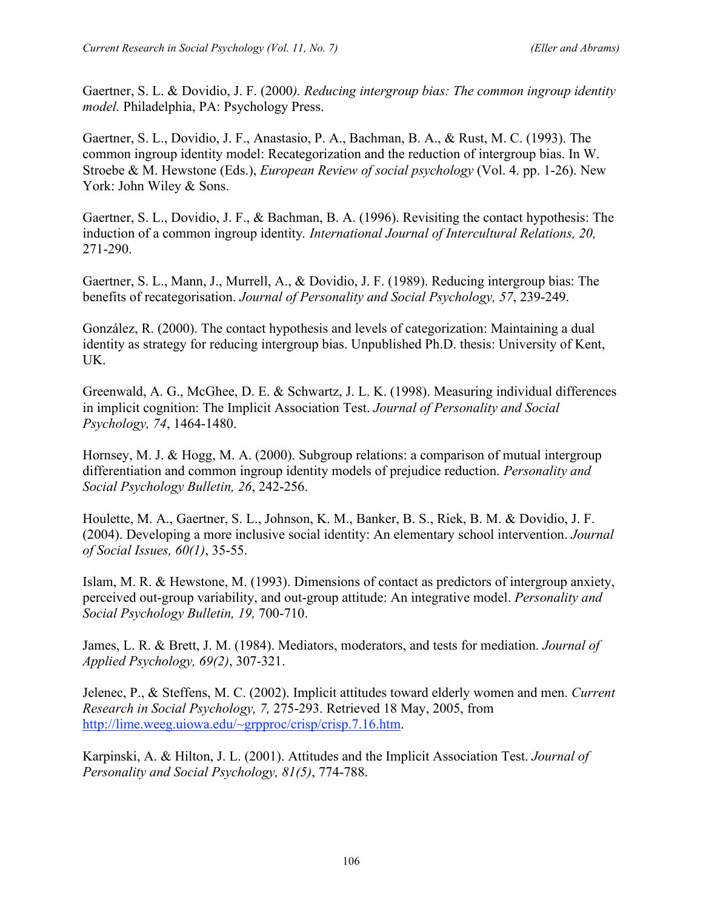Gaertner, S. L. & Dovidio, J. F. (2000*). Reducing intergroup bias: The common ingroup identity model.* Philadelphia, PA: Psychology Press.

Gaertner, S. L., Dovidio, J. F., Anastasio, P. A., Bachman, B. A., & Rust, M. C. (1993). The common ingroup identity model: Recategorization and the reduction of intergroup bias. In W. Stroebe & M. Hewstone (Eds.), *European Review of social psychology* (Vol. 4. pp. 1-26). New York: John Wiley & Sons.

Gaertner, S. L., Dovidio, J. F., & Bachman, B. A. (1996). Revisiting the contact hypothesis: The induction of a common ingroup identity*. International Journal of Intercultural Relations, 20,* 271-290.

Gaertner, S. L., Mann, J., Murrell, A., & Dovidio, J. F. (1989). Reducing intergroup bias: The benefits of recategorisation. *Journal of Personality and Social Psychology, 57*, 239-249.

González, R. (2000). The contact hypothesis and levels of categorization: Maintaining a dual identity as strategy for reducing intergroup bias. Unpublished Ph.D. thesis: University of Kent, UK.

Greenwald, A. G., McGhee, D. E. & Schwartz, J. L. K. (1998). Measuring individual differences in implicit cognition: The Implicit Association Test. *Journal of Personality and Social Psychology, 74*, 1464-1480.

Hornsey, M. J. & Hogg, M. A. (2000). Subgroup relations: a comparison of mutual intergroup differentiation and common ingroup identity models of prejudice reduction. *Personality and Social Psychology Bulletin, 26*, 242-256.

Houlette, M. A., Gaertner, S. L., Johnson, K. M., Banker, B. S., Riek, B. M. & Dovidio, J. F. (2004). Developing a more inclusive social identity: An elementary school intervention. *Journal of Social Issues, 60(1)*, 35-55.

Islam, M. R. & Hewstone, M. (1993). Dimensions of contact as predictors of intergroup anxiety, perceived out-group variability, and out-group attitude: An integrative model. *Personality and Social Psychology Bulletin, 19,* 700-710.

James, L. R. & Brett, J. M. (1984). Mediators, moderators, and tests for mediation. *Journal of Applied Psychology, 69(2)*, 307-321.

Jelenec, P., & Steffens, M. C. (2002). Implicit attitudes toward elderly women and men. *Current Research in Social Psychology, 7,* 275-293. Retrieved 18 May, 2005, from http://lime.weeg.uiowa.edu/~grpproc/crisp/crisp.7.16.htm.

Karpinski, A. & Hilton, J. L. (2001). Attitudes and the Implicit Association Test. *Journal of Personality and Social Psychology, 81(5)*, 774-788.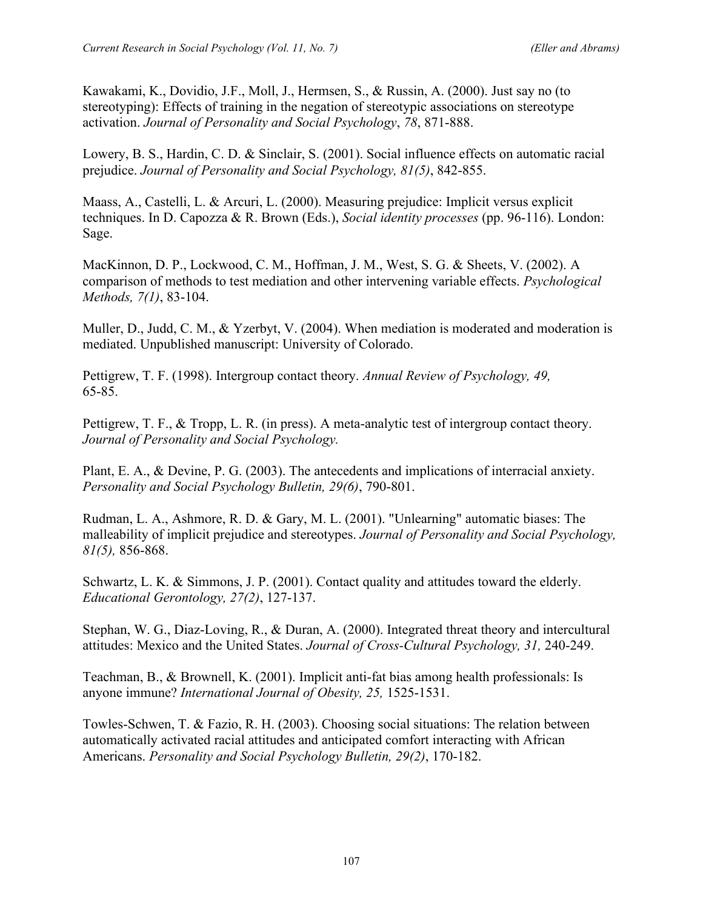Kawakami, K., Dovidio, J.F., Moll, J., Hermsen, S., & Russin, A. (2000). Just say no (to stereotyping): Effects of training in the negation of stereotypic associations on stereotype activation. *Journal of Personality and Social Psychology*, *78*, 871-888.

Lowery, B. S., Hardin, C. D. & Sinclair, S. (2001). Social influence effects on automatic racial prejudice. *Journal of Personality and Social Psychology, 81(5)*, 842-855.

Maass, A., Castelli, L. & Arcuri, L. (2000). Measuring prejudice: Implicit versus explicit techniques. In D. Capozza & R. Brown (Eds.), *Social identity processes* (pp. 96-116). London: Sage.

MacKinnon, D. P., Lockwood, C. M., Hoffman, J. M., West, S. G. & Sheets, V. (2002). A comparison of methods to test mediation and other intervening variable effects. *Psychological Methods, 7(1)*, 83-104.

Muller, D., Judd, C. M., & Yzerbyt, V. (2004). When mediation is moderated and moderation is mediated. Unpublished manuscript: University of Colorado.

Pettigrew, T. F. (1998). Intergroup contact theory. *Annual Review of Psychology, 49,* 65-85.

Pettigrew, T. F., & Tropp, L. R. (in press). A meta-analytic test of intergroup contact theory. *Journal of Personality and Social Psychology.* 

Plant, E. A., & Devine, P. G. (2003). The antecedents and implications of interracial anxiety. *Personality and Social Psychology Bulletin, 29(6)*, 790-801.

Rudman, L. A., Ashmore, R. D. & Gary, M. L. (2001). "Unlearning" automatic biases: The malleability of implicit prejudice and stereotypes. *Journal of Personality and Social Psychology, 81(5),* 856-868.

Schwartz, L. K. & Simmons, J. P. (2001). Contact quality and attitudes toward the elderly. *Educational Gerontology, 27(2)*, 127-137.

Stephan, W. G., Diaz-Loving, R., & Duran, A. (2000). Integrated threat theory and intercultural attitudes: Mexico and the United States. *Journal of Cross-Cultural Psychology, 31,* 240-249.

Teachman, B., & Brownell, K. (2001). Implicit anti-fat bias among health professionals: Is anyone immune? *International Journal of Obesity, 25,* 1525-1531.

Towles-Schwen, T. & Fazio, R. H. (2003). Choosing social situations: The relation between automatically activated racial attitudes and anticipated comfort interacting with African Americans. *Personality and Social Psychology Bulletin, 29(2)*, 170-182.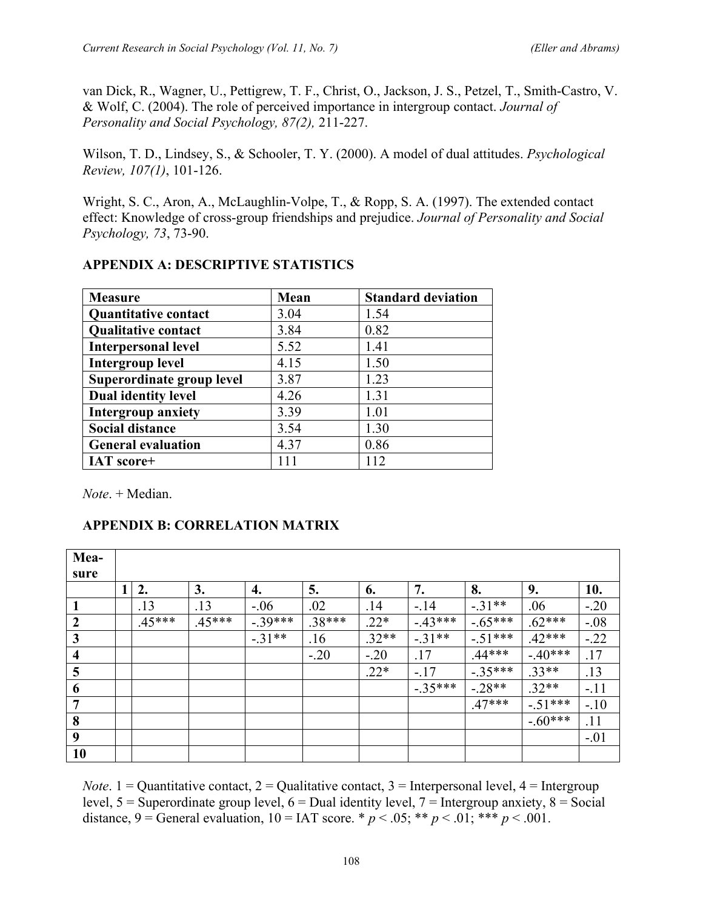van Dick, R., Wagner, U., Pettigrew, T. F., Christ, O., Jackson, J. S., Petzel, T., Smith-Castro, V. & Wolf, C. (2004). The role of perceived importance in intergroup contact. *Journal of Personality and Social Psychology, 87(2),* 211-227.

Wilson, T. D., Lindsey, S., & Schooler, T. Y. (2000). A model of dual attitudes. *Psychological Review, 107(1)*, 101-126.

Wright, S. C., Aron, A., McLaughlin-Volpe, T., & Ropp, S. A. (1997). The extended contact effect: Knowledge of cross-group friendships and prejudice. *Journal of Personality and Social Psychology, 73*, 73-90.

| <b>Measure</b>              | Mean | <b>Standard deviation</b> |
|-----------------------------|------|---------------------------|
| <b>Ouantitative contact</b> | 3.04 | 1.54                      |
| <b>Qualitative contact</b>  | 3.84 | 0.82                      |
| <b>Interpersonal level</b>  | 5.52 | 1.41                      |
| <b>Intergroup level</b>     | 4.15 | 1.50                      |
| Superordinate group level   | 3.87 | 1.23                      |
| <b>Dual identity level</b>  | 4.26 | 1.31                      |
| <b>Intergroup anxiety</b>   | 3.39 | 1.01                      |
| <b>Social distance</b>      | 3.54 | 1.30                      |
| <b>General evaluation</b>   | 4.37 | 0.86                      |
| IAT score+                  | 111  | 112                       |

# **APPENDIX A: DESCRIPTIVE STATISTICS**

*Note*. + Median.

# **APPENDIX B: CORRELATION MATRIX**

| Mea-                    |                |          |          |           |          |         |          |           |           |        |
|-------------------------|----------------|----------|----------|-----------|----------|---------|----------|-----------|-----------|--------|
| sure                    | 1 <sup>1</sup> | 2.       | 3.       | 4.        | 5.       | 6.      | 7.       | 8.        | 9.        | 10.    |
|                         |                | .13      | .13      | $-.06$    | .02      | .14     | $-.14$   | $-.31**$  | .06       | $-20$  |
| $\overline{2}$          |                | $.45***$ | $.45***$ | $-.39***$ | $.38***$ | $.22*$  | $-43***$ | $-.65***$ | $.62***$  | $-.08$ |
| $\mathbf{3}$            |                |          |          | $-31**$   | .16      | $.32**$ | $-31**$  | $-.51***$ | $.42***$  | $-22$  |
| $\overline{\mathbf{4}}$ |                |          |          |           | $-.20$   | $-.20$  | .17      | $.44***$  | $-40***$  | .17    |
| 5                       |                |          |          |           |          | $.22*$  | $-.17$   | $-.35***$ | $.33**$   | .13    |
| 6                       |                |          |          |           |          |         | $-35***$ | $-28**$   | $.32**$   | $-.11$ |
| $\overline{7}$          |                |          |          |           |          |         |          | $.47***$  | $-.51***$ | $-.10$ |
| 8                       |                |          |          |           |          |         |          |           | $-.60***$ | .11    |
| 9                       |                |          |          |           |          |         |          |           |           | $-.01$ |
| 10                      |                |          |          |           |          |         |          |           |           |        |

*Note*. 1 = Quantitative contact, 2 = Qualitative contact, 3 = Interpersonal level, 4 = Intergroup level,  $5 =$  Superordinate group level,  $6 =$  Dual identity level,  $7 =$  Intergroup anxiety,  $8 =$  Social distance,  $9 = \text{General evaluation}, 10 = \text{IAT score.} * p < .05; ** p < .01; *** p < .001.$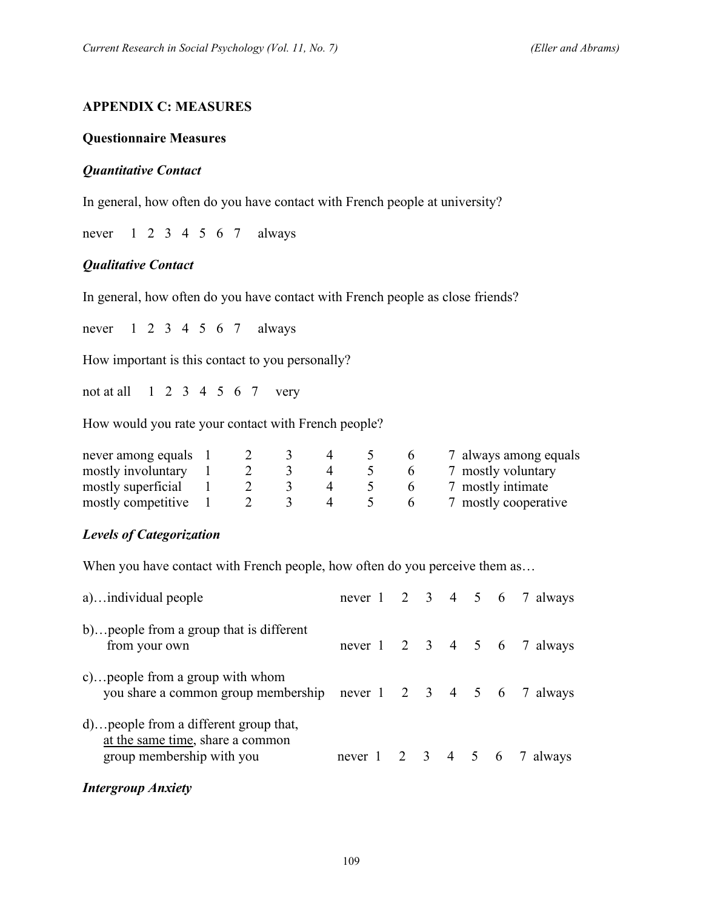#### **APPENDIX C: MEASURES**

#### **Questionnaire Measures**

#### *Quantitative Contact*

In general, how often do you have contact with French people at university?

never 1 2 3 4 5 6 7always

#### *Qualitative Contact*

In general, how often do you have contact with French people as close friends?

never 1 2 3 4 5 6 7always

How important is this contact to you personally?

not at all 1 2 3 4 5 6 7very

How would you rate your contact with French people?

| never among equals |  |  | $\mathbf{p}$ | 7 always among equals |
|--------------------|--|--|--------------|-----------------------|
| mostly involuntary |  |  | n            | 7 mostly voluntary    |
| mostly superficial |  |  |              | 7 mostly intimate     |
| mostly competitive |  |  |              | 7 mostly cooperative  |

#### *Levels of Categorization*

When you have contact with French people, how often do you perceive them as...

| a)individual people                                                                                     |  |  |  | never 1 2 3 4 5 6 7 always |
|---------------------------------------------------------------------------------------------------------|--|--|--|----------------------------|
| b) people from a group that is different<br>from your own                                               |  |  |  | never 1 2 3 4 5 6 7 always |
| c) people from a group with whom<br>you share a common group membership never 1 2 3 4 5 6 7 always      |  |  |  |                            |
| d) people from a different group that,<br>at the same time, share a common<br>group membership with you |  |  |  | never 1 2 3 4 5 6 7 always |

#### *Intergroup Anxiety*